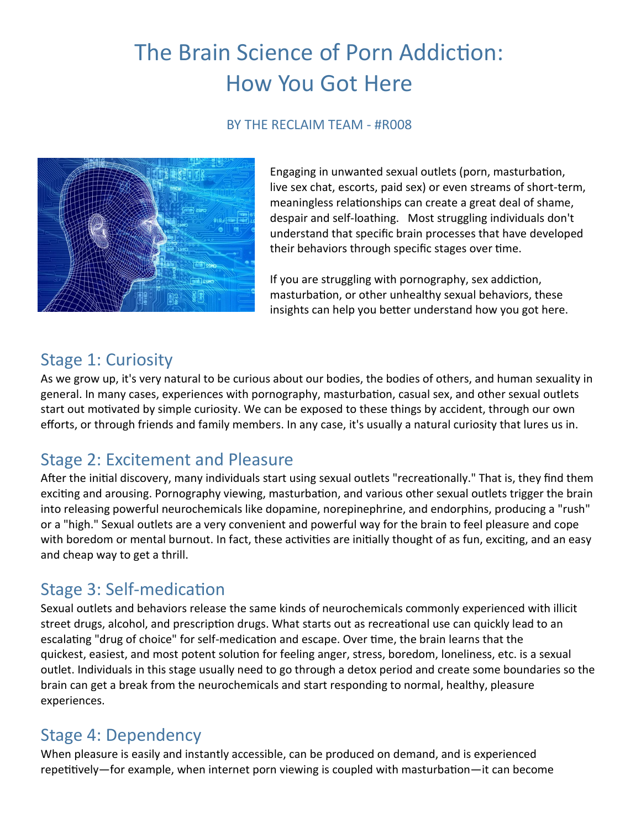# The Brain Science of Porn Addiction: How You Got Here

#### BY THE RECLAIM TEAM - #R008



Engaging in unwanted sexual outlets (porn, masturbation, live sex chat, escorts, paid sex) or even streams of short-term, meaningless relationships can create a great deal of shame, despair and self-loathing. Most struggling individuals don't understand that specific brain processes that have developed their behaviors through specific stages over time.

If you are struggling with pornography, sex addiction, masturbation, or other unhealthy sexual behaviors, these insights can help you better understand how you got here.

#### Stage 1: Curiosity

As we grow up, it's very natural to be curious about our bodies, the bodies of others, and human sexuality in general. In many cases, experiences with pornography, masturbation, casual sex, and other sexual outlets start out motivated by simple curiosity. We can be exposed to these things by accident, through our own efforts, or through friends and family members. In any case, it's usually a natural curiosity that lures us in.

### Stage 2: Excitement and Pleasure

After the initial discovery, many individuals start using sexual outlets "recreationally." That is, they find them exciting and arousing. Pornography viewing, masturbation, and various other sexual outlets trigger the brain into releasing powerful neurochemicals like dopamine, norepinephrine, and endorphins, producing a "rush" or a "high." Sexual outlets are a very convenient and powerful way for the brain to feel pleasure and cope with boredom or mental burnout. In fact, these activities are initially thought of as fun, exciting, and an easy and cheap way to get a thrill.

#### Stage 3: Self-medication

Sexual outlets and behaviors release the same kinds of neurochemicals commonly experienced with illicit street drugs, alcohol, and prescription drugs. What starts out as recreational use can quickly lead to an escalating "drug of choice" for self-medication and escape. Over time, the brain learns that the quickest, easiest, and most potent solution for feeling anger, stress, boredom, loneliness, etc. is a sexual outlet. Individuals in this stage usually need to go through a detox period and create some boundaries so the brain can get a break from the neurochemicals and start responding to normal, healthy, pleasure experiences.

#### Stage 4: Dependency

When pleasure is easily and instantly accessible, can be produced on demand, and is experienced repetitively—for example, when internet porn viewing is coupled with masturbation—it can become